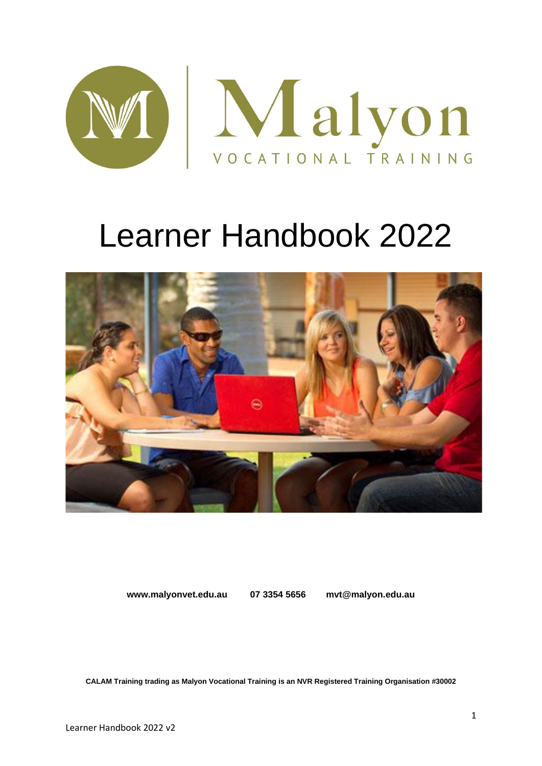

# Learner Handbook 2022



**www.malyonvet.edu.au 07 3354 5656 mvt@malyon.edu.au**

**CALAM Training trading as Malyon Vocational Training is an NVR Registered Training Organisation #30002**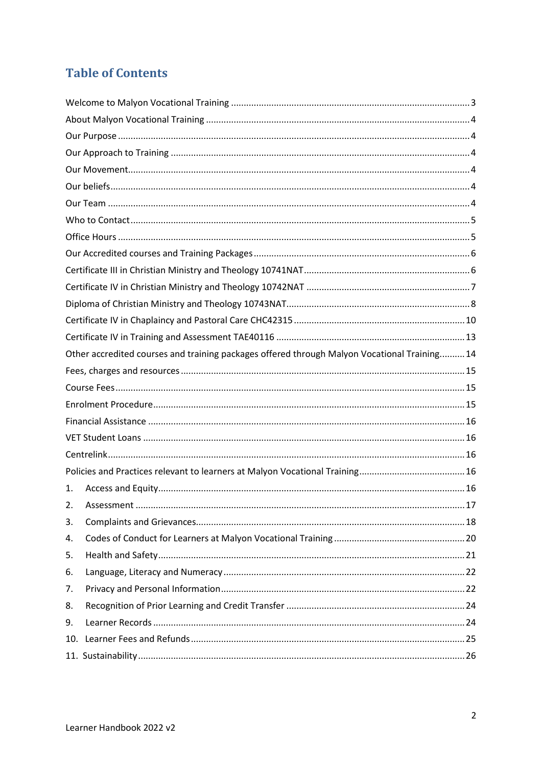# **Table of Contents**

|     | Other accredited courses and training packages offered through Malyon Vocational Training 14 |  |
|-----|----------------------------------------------------------------------------------------------|--|
|     |                                                                                              |  |
|     |                                                                                              |  |
|     |                                                                                              |  |
|     |                                                                                              |  |
|     |                                                                                              |  |
|     |                                                                                              |  |
|     |                                                                                              |  |
| 1.  |                                                                                              |  |
| 2.  |                                                                                              |  |
| 3.  |                                                                                              |  |
| 4.  |                                                                                              |  |
| 5.  |                                                                                              |  |
| 6.  |                                                                                              |  |
| 7.  |                                                                                              |  |
| 8.  |                                                                                              |  |
| 9.  |                                                                                              |  |
| 10. |                                                                                              |  |
|     |                                                                                              |  |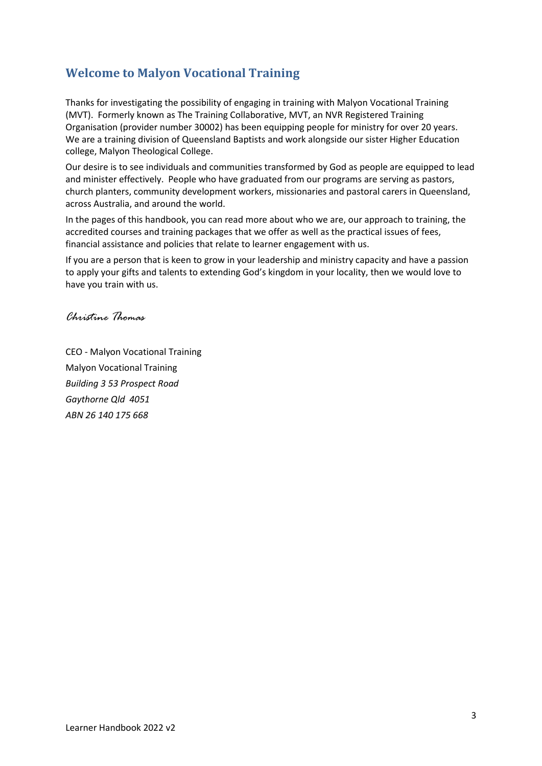# <span id="page-2-0"></span>**Welcome to Malyon Vocational Training**

Thanks for investigating the possibility of engaging in training with Malyon Vocational Training (MVT). Formerly known as The Training Collaborative, MVT, an NVR Registered Training Organisation (provider number 30002) has been equipping people for ministry for over 20 years. We are a training division of Queensland Baptists and work alongside our sister Higher Education college, Malyon Theological College.

Our desire is to see individuals and communities transformed by God as people are equipped to lead and minister effectively. People who have graduated from our programs are serving as pastors, church planters, community development workers, missionaries and pastoral carers in Queensland, across Australia, and around the world.

In the pages of this handbook, you can read more about who we are, our approach to training, the accredited courses and training packages that we offer as well as the practical issues of fees, financial assistance and policies that relate to learner engagement with us.

If you are a person that is keen to grow in your leadership and ministry capacity and have a passion to apply your gifts and talents to extending God's kingdom in your locality, then we would love to have you train with us.

*Christine Thomas*

CEO - Malyon Vocational Training Malyon Vocational Training *Building 3 53 Prospect Road Gaythorne Qld 4051 ABN 26 140 175 668*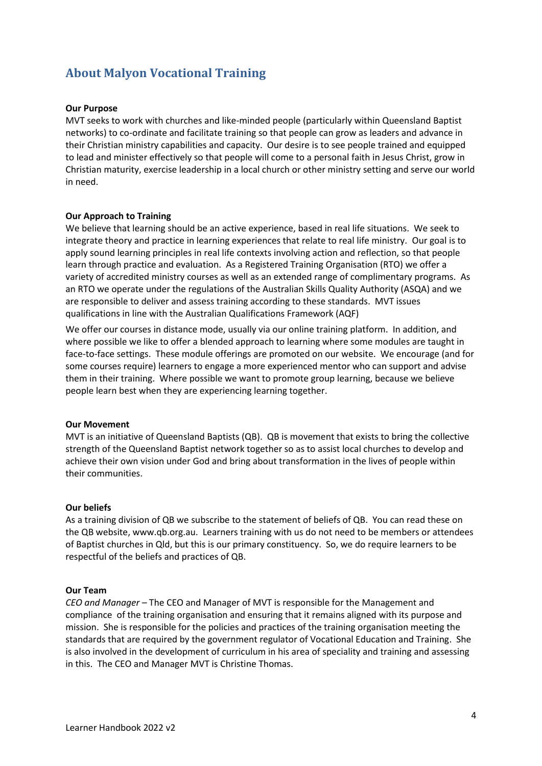# <span id="page-3-1"></span><span id="page-3-0"></span>**About Malyon Vocational Training**

#### **Our Purpose**

MVT seeks to work with churches and like-minded people (particularly within Queensland Baptist networks) to co-ordinate and facilitate training so that people can grow as leaders and advance in their Christian ministry capabilities and capacity. Our desire is to see people trained and equipped to lead and minister effectively so that people will come to a personal faith in Jesus Christ, grow in Christian maturity, exercise leadership in a local church or other ministry setting and serve our world in need.

#### <span id="page-3-2"></span>**Our Approach to Training**

We believe that learning should be an active experience, based in real life situations. We seek to integrate theory and practice in learning experiences that relate to real life ministry. Our goal is to apply sound learning principles in real life contexts involving action and reflection, so that people learn through practice and evaluation. As a Registered Training Organisation (RTO) we offer a variety of accredited ministry courses as well as an extended range of complimentary programs. As an RTO we operate under the regulations of the Australian Skills Quality Authority (ASQA) and we are responsible to deliver and assess training according to these standards. MVT issues qualifications in line with the Australian Qualifications Framework (AQF)

We offer our courses in distance mode, usually via our online training platform. In addition, and where possible we like to offer a blended approach to learning where some modules are taught in face-to-face settings. These module offerings are promoted on our website. We encourage (and for some courses require) learners to engage a more experienced mentor who can support and advise them in their training. Where possible we want to promote group learning, because we believe people learn best when they are experiencing learning together.

#### <span id="page-3-3"></span>**Our Movement**

MVT is an initiative of Queensland Baptists (QB). QB is movement that exists to bring the collective strength of the Queensland Baptist network together so as to assist local churches to develop and achieve their own vision under God and bring about transformation in the lives of people within their communities.

#### <span id="page-3-4"></span>**Our beliefs**

As a training division of QB we subscribe to the statement of beliefs of QB. You can read these on the QB website, www.qb.org.au. Learners training with us do not need to be members or attendees of Baptist churches in Qld, but this is our primary constituency. So, we do require learners to be respectful of the beliefs and practices of QB.

#### <span id="page-3-5"></span>**Our Team**

*CEO and Manager –* The CEO and Manager of MVT is responsible for the Management and compliance of the training organisation and ensuring that it remains aligned with its purpose and mission. She is responsible for the policies and practices of the training organisation meeting the standards that are required by the government regulator of Vocational Education and Training. She is also involved in the development of curriculum in his area of speciality and training and assessing in this. The CEO and Manager MVT is Christine Thomas.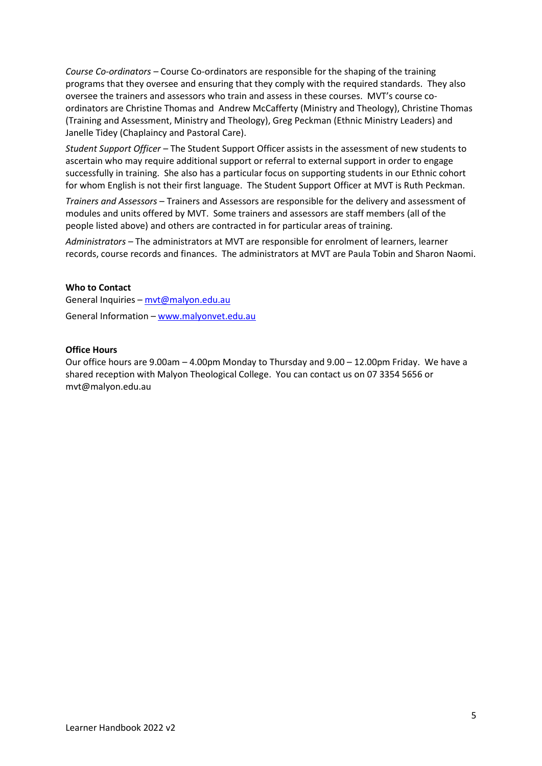*Course Co-ordinators –* Course Co-ordinators are responsible for the shaping of the training programs that they oversee and ensuring that they comply with the required standards. They also oversee the trainers and assessors who train and assess in these courses. MVT's course coordinators are Christine Thomas and Andrew McCafferty (Ministry and Theology), Christine Thomas (Training and Assessment, Ministry and Theology), Greg Peckman (Ethnic Ministry Leaders) and Janelle Tidey (Chaplaincy and Pastoral Care).

*Student Support Officer –* The Student Support Officer assists in the assessment of new students to ascertain who may require additional support or referral to external support in order to engage successfully in training. She also has a particular focus on supporting students in our Ethnic cohort for whom English is not their first language. The Student Support Officer at MVT is Ruth Peckman.

*Trainers and Assessors* – Trainers and Assessors are responsible for the delivery and assessment of modules and units offered by MVT. Some trainers and assessors are staff members (all of the people listed above) and others are contracted in for particular areas of training.

*Administrators –* The administrators at MVT are responsible for enrolment of learners, learner records, course records and finances. The administrators at MVT are Paula Tobin and Sharon Naomi.

#### <span id="page-4-0"></span>**Who to Contact**

General Inquiries – [mvt@malyon.edu.au](mailto:mvt@malyon.edu.au) General Information – [www.m](http://www./)alyonvet.edu.au

#### <span id="page-4-1"></span>**Office Hours**

Our office hours are 9.00am – 4.00pm Monday to Thursday and 9.00 – 12.00pm Friday. We have a shared reception with Malyon Theological College. You can contact us on 07 3354 5656 or mvt@malyon.edu.au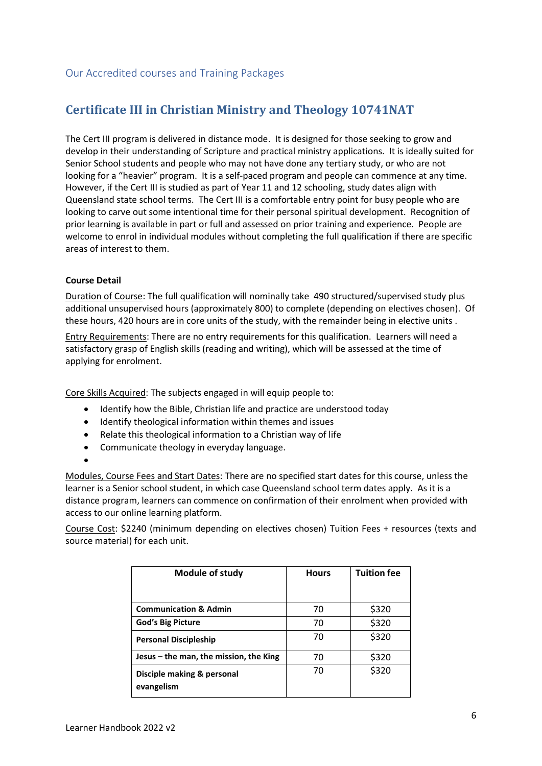# <span id="page-5-1"></span><span id="page-5-0"></span>**Certificate III in Christian Ministry and Theology 10741NAT**

The Cert III program is delivered in distance mode. It is designed for those seeking to grow and develop in their understanding of Scripture and practical ministry applications. It is ideally suited for Senior School students and people who may not have done any tertiary study, or who are not looking for a "heavier" program. It is a self-paced program and people can commence at any time. However, if the Cert III is studied as part of Year 11 and 12 schooling, study dates align with Queensland state school terms. The Cert III is a comfortable entry point for busy people who are looking to carve out some intentional time for their personal spiritual development. Recognition of prior learning is available in part or full and assessed on prior training and experience. People are welcome to enrol in individual modules without completing the full qualification if there are specific areas of interest to them.

#### **Course Detail**

Duration of Course: The full qualification will nominally take 490 structured/supervised study plus additional unsupervised hours (approximately 800) to complete (depending on electives chosen). Of these hours, 420 hours are in core units of the study, with the remainder being in elective units .

Entry Requirements: There are no entry requirements for this qualification. Learners will need a satisfactory grasp of English skills (reading and writing), which will be assessed at the time of applying for enrolment.

Core Skills Acquired: The subjects engaged in will equip people to:

- Identify how the Bible, Christian life and practice are understood today
- Identify theological information within themes and issues
- Relate this theological information to a Christian way of life
- Communicate theology in everyday language.
- •

Modules, Course Fees and Start Dates: There are no specified start dates for this course, unless the learner is a Senior school student, in which case Queensland school term dates apply. As it is a distance program, learners can commence on confirmation of their enrolment when provided with access to our online learning platform.

Course Cost: \$2240 (minimum depending on electives chosen) Tuition Fees + resources (texts and source material) for each unit.

| Module of study                          | <b>Hours</b> | <b>Tuition fee</b> |
|------------------------------------------|--------------|--------------------|
|                                          |              |                    |
| <b>Communication &amp; Admin</b>         | 70           | \$320              |
| <b>God's Big Picture</b>                 | 70           | \$320              |
| <b>Personal Discipleship</b>             | 70           | \$320              |
| Jesus – the man, the mission, the King   | 70           | \$320              |
| Disciple making & personal<br>evangelism | 70           | \$320              |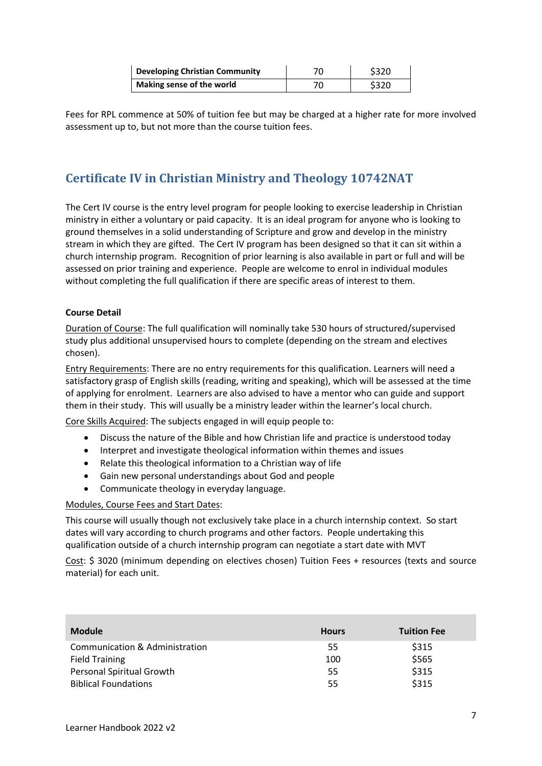| <b>Developing Christian Community</b> | 70 | \$320 |
|---------------------------------------|----|-------|
| Making sense of the world             |    | \$320 |

Fees for RPL commence at 50% of tuition fee but may be charged at a higher rate for more involved assessment up to, but not more than the course tuition fees.

# <span id="page-6-0"></span>**Certificate IV in Christian Ministry and Theology 10742NAT**

The Cert IV course is the entry level program for people looking to exercise leadership in Christian ministry in either a voluntary or paid capacity. It is an ideal program for anyone who is looking to ground themselves in a solid understanding of Scripture and grow and develop in the ministry stream in which they are gifted. The Cert IV program has been designed so that it can sit within a church internship program. Recognition of prior learning is also available in part or full and will be assessed on prior training and experience. People are welcome to enrol in individual modules without completing the full qualification if there are specific areas of interest to them.

#### **Course Detail**

Duration of Course: The full qualification will nominally take 530 hours of structured/supervised study plus additional unsupervised hours to complete (depending on the stream and electives chosen).

Entry Requirements: There are no entry requirements for this qualification. Learners will need a satisfactory grasp of English skills (reading, writing and speaking), which will be assessed at the time of applying for enrolment. Learners are also advised to have a mentor who can guide and support them in their study. This will usually be a ministry leader within the learner's local church.

Core Skills Acquired: The subjects engaged in will equip people to:

- Discuss the nature of the Bible and how Christian life and practice is understood today
- Interpret and investigate theological information within themes and issues
- Relate this theological information to a Christian way of life
- Gain new personal understandings about God and people
- Communicate theology in everyday language.

#### Modules, Course Fees and Start Dates:

This course will usually though not exclusively take place in a church internship context. So start dates will vary according to church programs and other factors. People undertaking this qualification outside of a church internship program can negotiate a start date with MVT

Cost: \$ 3020 (minimum depending on electives chosen) Tuition Fees + resources (texts and source material) for each unit.

| <b>Module</b>                    | <b>Hours</b> | <b>Tuition Fee</b> |
|----------------------------------|--------------|--------------------|
| Communication & Administration   | 55           | \$315              |
| <b>Field Training</b>            | 100          | \$565              |
| <b>Personal Spiritual Growth</b> | 55           | \$315              |
| <b>Biblical Foundations</b>      | 55           | \$315              |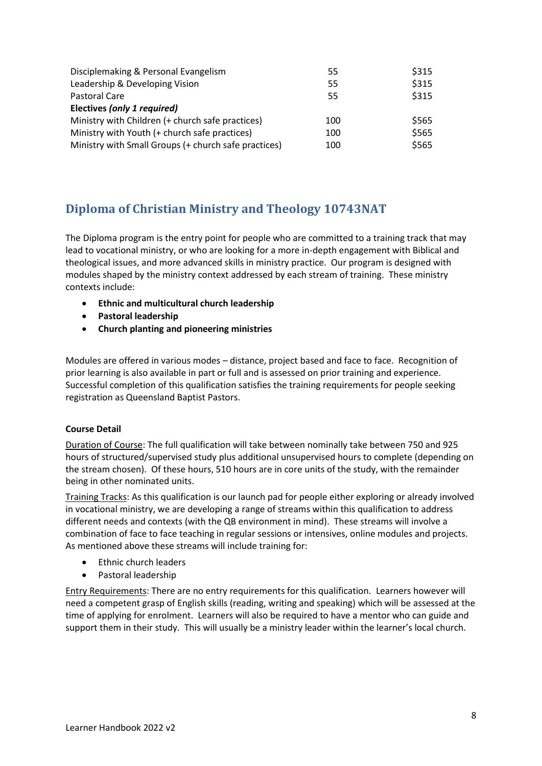| Disciplemaking & Personal Evangelism                 | 55  | \$315 |
|------------------------------------------------------|-----|-------|
| Leadership & Developing Vision                       | 55  | \$315 |
| Pastoral Care                                        | 55  | \$315 |
| Electives (only 1 required)                          |     |       |
| Ministry with Children (+ church safe practices)     | 100 | \$565 |
| Ministry with Youth (+ church safe practices)        | 100 | \$565 |
| Ministry with Small Groups (+ church safe practices) | 100 | \$565 |

# <span id="page-7-0"></span>**Diploma of Christian Ministry and Theology 10743NAT**

The Diploma program is the entry point for people who are committed to a training track that may lead to vocational ministry, or who are looking for a more in-depth engagement with Biblical and theological issues, and more advanced skills in ministry practice. Our program is designed with modules shaped by the ministry context addressed by each stream of training. These ministry contexts include:

- **Ethnic and multicultural church leadership**
- **Pastoral leadership**
- **Church planting and pioneering ministries**

Modules are offered in various modes – distance, project based and face to face. Recognition of prior learning is also available in part or full and is assessed on prior training and experience. Successful completion of this qualification satisfies the training requirements for people seeking registration as Queensland Baptist Pastors.

#### **Course Detail**

Duration of Course: The full qualification will take between nominally take between 750 and 925 hours of structured/supervised study plus additional unsupervised hours to complete (depending on the stream chosen). Of these hours, 510 hours are in core units of the study, with the remainder being in other nominated units.

Training Tracks: As this qualification is our launch pad for people either exploring or already involved in vocational ministry, we are developing a range of streams within this qualification to address different needs and contexts (with the QB environment in mind). These streams will involve a combination of face to face teaching in regular sessions or intensives, online modules and projects. As mentioned above these streams will include training for:

- Ethnic church leaders
- Pastoral leadership

Entry Requirements: There are no entry requirements for this qualification. Learners however will need a competent grasp of English skills (reading, writing and speaking) which will be assessed at the time of applying for enrolment. Learners will also be required to have a mentor who can guide and support them in their study. This will usually be a ministry leader within the learner's local church.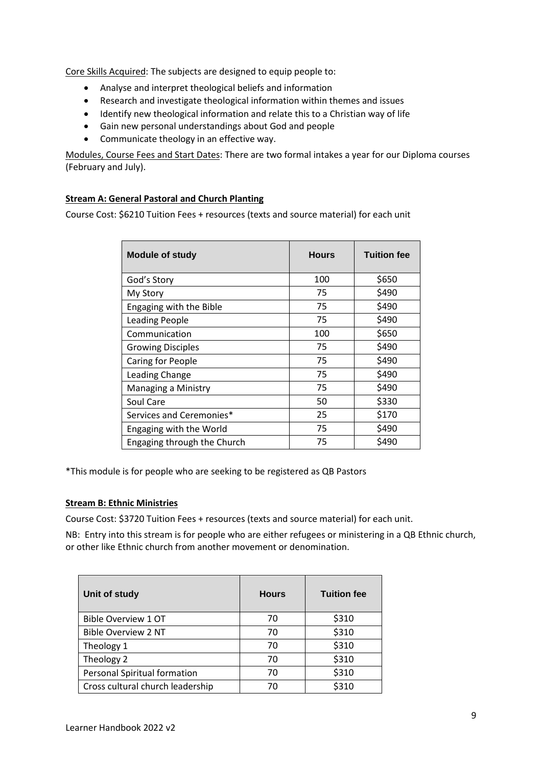Core Skills Acquired: The subjects are designed to equip people to:

- Analyse and interpret theological beliefs and information
- Research and investigate theological information within themes and issues
- Identify new theological information and relate this to a Christian way of life
- Gain new personal understandings about God and people
- Communicate theology in an effective way.

Modules, Course Fees and Start Dates: There are two formal intakes a year for our Diploma courses (February and July).

#### **Stream A: General Pastoral and Church Planting**

Course Cost: \$6210 Tuition Fees + resources (texts and source material) for each unit

| <b>Module of study</b>      | <b>Hours</b> | <b>Tuition fee</b> |
|-----------------------------|--------------|--------------------|
| God's Story                 | 100          | \$650              |
| My Story                    | 75           | \$490              |
| Engaging with the Bible     | 75           | \$490              |
| <b>Leading People</b>       | 75           | \$490              |
| Communication               | 100          | \$650              |
| <b>Growing Disciples</b>    | 75           | \$490              |
| Caring for People           | 75           | \$490              |
| Leading Change              | 75           | \$490              |
| Managing a Ministry         | 75           | \$490              |
| Soul Care                   | 50           | \$330              |
| Services and Ceremonies*    | 25           | \$170              |
| Engaging with the World     | 75           | \$490              |
| Engaging through the Church | 75           | \$490              |

\*This module is for people who are seeking to be registered as QB Pastors

#### **Stream B: Ethnic Ministries**

Course Cost: \$3720 Tuition Fees + resources (texts and source material) for each unit.

NB: Entry into this stream is for people who are either refugees or ministering in a QB Ethnic church, or other like Ethnic church from another movement or denomination.

| Unit of study                    | <b>Hours</b> | <b>Tuition fee</b> |
|----------------------------------|--------------|--------------------|
| Bible Overview 1 OT              | 70           | \$310              |
| <b>Bible Overview 2 NT</b>       | 70           | \$310              |
| Theology 1                       | 70           | \$310              |
| Theology 2                       | 70           | \$310              |
| Personal Spiritual formation     | 70           | \$310              |
| Cross cultural church leadership | 70           | \$310              |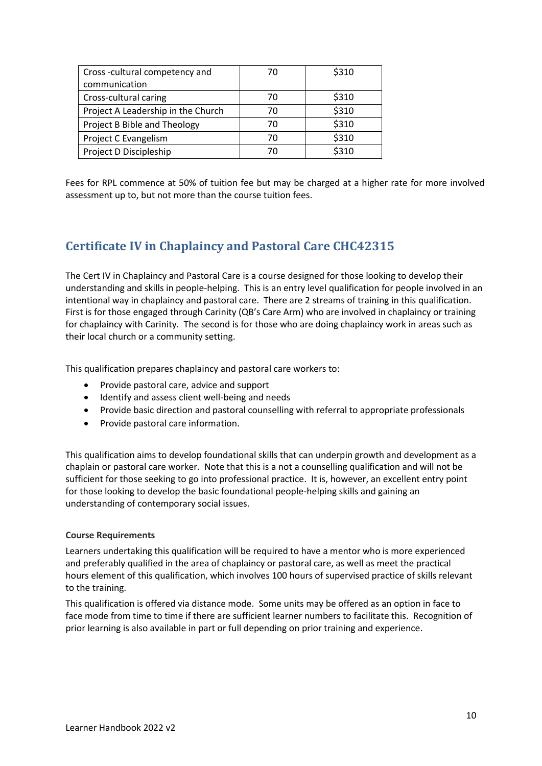| Cross-cultural competency and      | 70 | \$310 |
|------------------------------------|----|-------|
| communication                      |    |       |
| Cross-cultural caring              | 70 | \$310 |
| Project A Leadership in the Church | 70 | \$310 |
| Project B Bible and Theology       | 70 | \$310 |
| Project C Evangelism               | 70 | \$310 |
| Project D Discipleship             | 70 | \$310 |

Fees for RPL commence at 50% of tuition fee but may be charged at a higher rate for more involved assessment up to, but not more than the course tuition fees.

# <span id="page-9-0"></span>**Certificate IV in Chaplaincy and Pastoral Care CHC42315**

The Cert IV in Chaplaincy and Pastoral Care is a course designed for those looking to develop their understanding and skills in people-helping. This is an entry level qualification for people involved in an intentional way in chaplaincy and pastoral care. There are 2 streams of training in this qualification. First is for those engaged through Carinity (QB's Care Arm) who are involved in chaplaincy or training for chaplaincy with Carinity. The second is for those who are doing chaplaincy work in areas such as their local church or a community setting.

This qualification prepares chaplaincy and pastoral care workers to:

- Provide pastoral care, advice and support
- Identify and assess client well-being and needs
- Provide basic direction and pastoral counselling with referral to appropriate professionals
- Provide pastoral care information.

This qualification aims to develop foundational skills that can underpin growth and development as a chaplain or pastoral care worker. Note that this is a not a counselling qualification and will not be sufficient for those seeking to go into professional practice. It is, however, an excellent entry point for those looking to develop the basic foundational people-helping skills and gaining an understanding of contemporary social issues.

#### **Course Requirements**

Learners undertaking this qualification will be required to have a mentor who is more experienced and preferably qualified in the area of chaplaincy or pastoral care, as well as meet the practical hours element of this qualification, which involves 100 hours of supervised practice of skills relevant to the training.

This qualification is offered via distance mode. Some units may be offered as an option in face to face mode from time to time if there are sufficient learner numbers to facilitate this. Recognition of prior learning is also available in part or full depending on prior training and experience.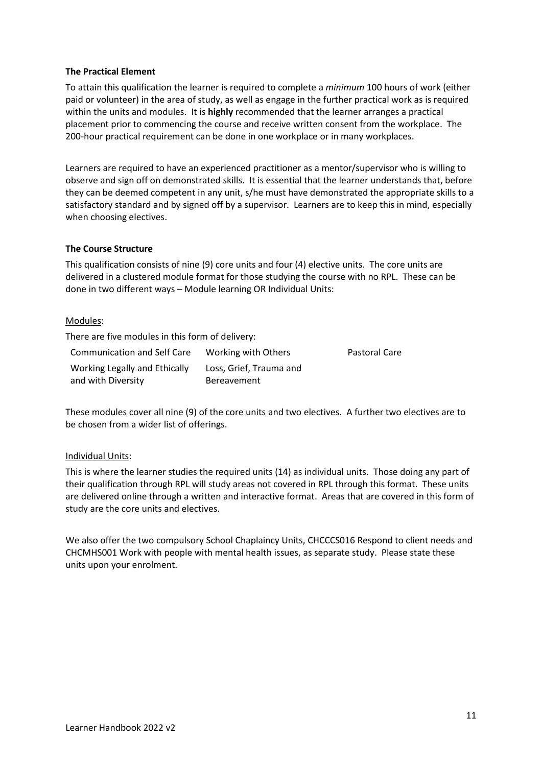#### **The Practical Element**

To attain this qualification the learner is required to complete a *minimum* 100 hours of work (either paid or volunteer) in the area of study, as well as engage in the further practical work as is required within the units and modules. It is **highly** recommended that the learner arranges a practical placement prior to commencing the course and receive written consent from the workplace. The 200-hour practical requirement can be done in one workplace or in many workplaces.

Learners are required to have an experienced practitioner as a mentor/supervisor who is willing to observe and sign off on demonstrated skills. It is essential that the learner understands that, before they can be deemed competent in any unit, s/he must have demonstrated the appropriate skills to a satisfactory standard and by signed off by a supervisor. Learners are to keep this in mind, especially when choosing electives.

#### **The Course Structure**

This qualification consists of nine (9) core units and four (4) elective units. The core units are delivered in a clustered module format for those studying the course with no RPL. These can be done in two different ways – Module learning OR Individual Units:

#### Modules:

There are five modules in this form of delivery:

| Communication and Self Care   | Working with Others     | <b>Pastoral Care</b> |
|-------------------------------|-------------------------|----------------------|
| Working Legally and Ethically | Loss, Grief, Trauma and |                      |
| and with Diversity            | <b>Bereavement</b>      |                      |

These modules cover all nine (9) of the core units and two electives. A further two electives are to be chosen from a wider list of offerings.

#### Individual Units:

This is where the learner studies the required units (14) as individual units. Those doing any part of their qualification through RPL will study areas not covered in RPL through this format. These units are delivered online through a written and interactive format. Areas that are covered in this form of study are the core units and electives.

We also offer the two compulsory School Chaplaincy Units, CHCCCS016 Respond to client needs and CHCMHS001 Work with people with mental health issues, as separate study. Please state these units upon your enrolment.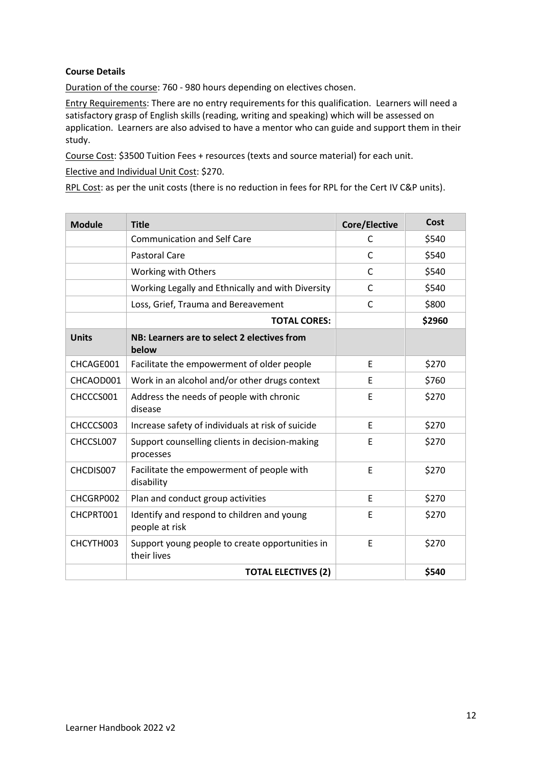#### **Course Details**

Duration of the course: 760 - 980 hours depending on electives chosen.

Entry Requirements: There are no entry requirements for this qualification. Learners will need a satisfactory grasp of English skills (reading, writing and speaking) which will be assessed on application. Learners are also advised to have a mentor who can guide and support them in their study.

Course Cost: \$3500 Tuition Fees + resources (texts and source material) for each unit.

Elective and Individual Unit Cost: \$270.

RPL Cost: as per the unit costs (there is no reduction in fees for RPL for the Cert IV C&P units).

| <b>Module</b> | <b>Title</b>                                                   | Core/Elective | Cost   |
|---------------|----------------------------------------------------------------|---------------|--------|
|               | <b>Communication and Self Care</b>                             | C             | \$540  |
|               | <b>Pastoral Care</b>                                           | $\mathsf{C}$  | \$540  |
|               | Working with Others                                            | C             | \$540  |
|               | Working Legally and Ethnically and with Diversity              | C             | \$540  |
|               | Loss, Grief, Trauma and Bereavement                            | C             | \$800  |
|               | <b>TOTAL CORES:</b>                                            |               | \$2960 |
| <b>Units</b>  | NB: Learners are to select 2 electives from<br>below           |               |        |
| CHCAGE001     | Facilitate the empowerment of older people                     | E             | \$270  |
| CHCAOD001     | Work in an alcohol and/or other drugs context                  | E             | \$760  |
| CHCCCS001     | Address the needs of people with chronic<br>disease            | E             | \$270  |
| CHCCCS003     | Increase safety of individuals at risk of suicide              | F             | \$270  |
| CHCCSL007     | Support counselling clients in decision-making<br>processes    | E             | \$270  |
| CHCDIS007     | Facilitate the empowerment of people with<br>disability        | E             | \$270  |
| CHCGRP002     | Plan and conduct group activities                              | E             | \$270  |
| CHCPRT001     | Identify and respond to children and young<br>people at risk   | E             | \$270  |
| CHCYTH003     | Support young people to create opportunities in<br>their lives | E             | \$270  |
|               | <b>TOTAL ELECTIVES (2)</b>                                     |               | \$540  |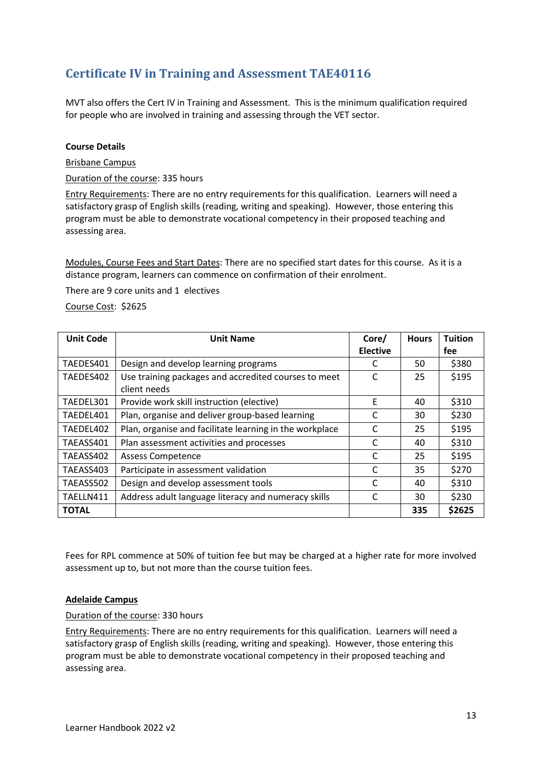# <span id="page-12-0"></span>**Certificate IV in Training and Assessment TAE40116**

MVT also offers the Cert IV in Training and Assessment. This is the minimum qualification required for people who are involved in training and assessing through the VET sector.

#### **Course Details**

Brisbane Campus

Duration of the course: 335 hours

Entry Requirements: There are no entry requirements for this qualification. Learners will need a satisfactory grasp of English skills (reading, writing and speaking). However, those entering this program must be able to demonstrate vocational competency in their proposed teaching and assessing area.

Modules, Course Fees and Start Dates: There are no specified start dates for this course. As it is a distance program, learners can commence on confirmation of their enrolment.

There are 9 core units and 1 electives

Course Cost: \$2625

| <b>Unit Code</b> | <b>Unit Name</b>                                        | Core/           | <b>Hours</b> | <b>Tuition</b> |
|------------------|---------------------------------------------------------|-----------------|--------------|----------------|
|                  |                                                         | <b>Elective</b> |              | fee            |
| TAEDES401        | Design and develop learning programs                    |                 | 50           | \$380          |
| TAEDES402        | Use training packages and accredited courses to meet    | C               | 25           | \$195          |
|                  | client needs                                            |                 |              |                |
| TAEDEL301        | Provide work skill instruction (elective)               | E               | 40           | \$310          |
| TAEDEL401        | Plan, organise and deliver group-based learning         | C               | 30           | \$230          |
| TAEDEL402        | Plan, organise and facilitate learning in the workplace | C               | 25           | \$195          |
| TAEASS401        | Plan assessment activities and processes                | C               | 40           | \$310          |
| TAEASS402        | <b>Assess Competence</b>                                | C               | 25           | \$195          |
| TAEASS403        | Participate in assessment validation                    | C               | 35           | \$270          |
| TAEASS502        | Design and develop assessment tools                     | C               | 40           | \$310          |
| TAELLN411        | Address adult language literacy and numeracy skills     | C               | 30           | \$230          |
| <b>TOTAL</b>     |                                                         |                 | 335          | \$2625         |

Fees for RPL commence at 50% of tuition fee but may be charged at a higher rate for more involved assessment up to, but not more than the course tuition fees.

#### **Adelaide Campus**

Duration of the course: 330 hours

Entry Requirements: There are no entry requirements for this qualification. Learners will need a satisfactory grasp of English skills (reading, writing and speaking). However, those entering this program must be able to demonstrate vocational competency in their proposed teaching and assessing area.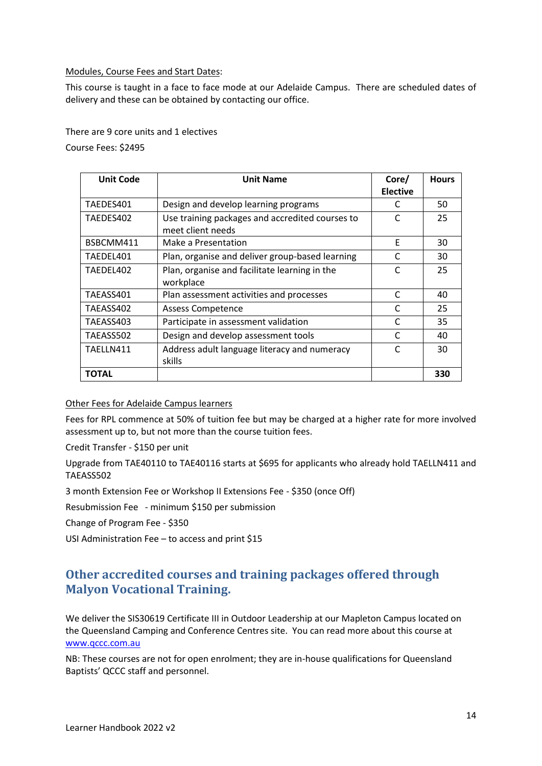Modules, Course Fees and Start Dates:

This course is taught in a face to face mode at our Adelaide Campus. There are scheduled dates of delivery and these can be obtained by contacting our office.

There are 9 core units and 1 electives

Course Fees: \$2495

| <b>Unit Code</b> | <b>Unit Name</b>                                                     | Core/           | <b>Hours</b> |
|------------------|----------------------------------------------------------------------|-----------------|--------------|
|                  |                                                                      | <b>Elective</b> |              |
| TAEDES401        | Design and develop learning programs                                 | C               | 50           |
| TAEDES402        | Use training packages and accredited courses to<br>meet client needs | C               | 25           |
| BSBCMM411        | Make a Presentation                                                  | F               | 30           |
| TAEDEL401        | Plan, organise and deliver group-based learning                      | C               | 30           |
| TAEDEL402        | Plan, organise and facilitate learning in the                        | C               | 25           |
|                  | workplace                                                            |                 |              |
| TAEASS401        | Plan assessment activities and processes                             | C               | 40           |
| TAEASS402        | <b>Assess Competence</b>                                             | C               | 25           |
| TAEASS403        | Participate in assessment validation                                 | C               | 35           |
| TAEASS502        | Design and develop assessment tools                                  | C               | 40           |
| TAELLN411        | Address adult language literacy and numeracy                         | C               | 30           |
|                  | skills                                                               |                 |              |
| TOTAL            |                                                                      |                 | 330          |

#### Other Fees for Adelaide Campus learners

Fees for RPL commence at 50% of tuition fee but may be charged at a higher rate for more involved assessment up to, but not more than the course tuition fees.

Credit Transfer - \$150 per unit

Upgrade from TAE40110 to TAE40116 starts at \$695 for applicants who already hold TAELLN411 and TAEASS502

3 month Extension Fee or Workshop II Extensions Fee - \$350 (once Off)

Resubmission Fee - minimum \$150 per submission

Change of Program Fee - \$350

<span id="page-13-0"></span>USI Administration Fee – to access and print \$15

## **Other accredited courses and training packages offered through Malyon Vocational Training.**

We deliver the SIS30619 Certificate III in Outdoor Leadership at our Mapleton Campus located on the Queensland Camping and Conference Centres site. You can read more about this course at [www.qccc.com.au](http://www.qccc.com.au/)

NB: These courses are not for open enrolment; they are in-house qualifications for Queensland Baptists' QCCC staff and personnel.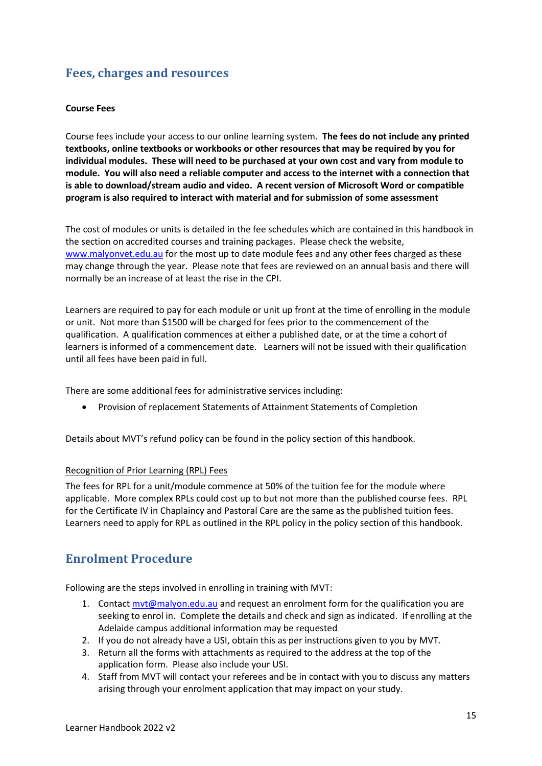# <span id="page-14-1"></span><span id="page-14-0"></span>**Fees, charges and resources**

#### **Course Fees**

Course fees include your access to our online learning system. **The fees do not include any printed textbooks, online textbooks or workbooks or other resources that may be required by you for individual modules. These will need to be purchased at your own cost and vary from module to module. You will also need a reliable computer and access to the internet with a connection that is able to download/stream audio and video. A recent version of Microsoft Word or compatible program is also required to interact with material and for submission of some assessment**

The cost of modules or units is detailed in the fee schedules which are contained in this handbook in the section on accredited courses and training packages. Please check the website, [www.malyonvet.edu.au](http://www.malyonvet.edu.au/) for the most up to date module fees and any other fees charged as these may change through the year. Please note that fees are reviewed on an annual basis and there will normally be an increase of at least the rise in the CPI.

Learners are required to pay for each module or unit up front at the time of enrolling in the module or unit. Not more than \$1500 will be charged for fees prior to the commencement of the qualification. A qualification commences at either a published date, or at the time a cohort of learners is informed of a commencement date. Learners will not be issued with their qualification until all fees have been paid in full.

There are some additional fees for administrative services including:

• Provision of replacement Statements of Attainment Statements of Completion

Details about MVT's refund policy can be found in the policy section of this handbook.

#### Recognition of Prior Learning (RPL) Fees

The fees for RPL for a unit/module commence at 50% of the tuition fee for the module where applicable. More complex RPLs could cost up to but not more than the published course fees. RPL for the Certificate IV in Chaplaincy and Pastoral Care are the same as the published tuition fees. Learners need to apply for RPL as outlined in the RPL policy in the policy section of this handbook.

## <span id="page-14-2"></span>**Enrolment Procedure**

Following are the steps involved in enrolling in training with MVT:

- 1. Contact myt@malyon.edu.au and request an enrolment form for the qualification you are seeking to enrol in. Complete the details and check and sign as indicated. If enrolling at the Adelaide campus additional information may be requested
- 2. If you do not already have a USI, obtain this as per instructions given to you by MVT.
- 3. Return all the forms with attachments as required to the address at the top of the application form. Please also include your USI.
- 4. Staff from MVT will contact your referees and be in contact with you to discuss any matters arising through your enrolment application that may impact on your study.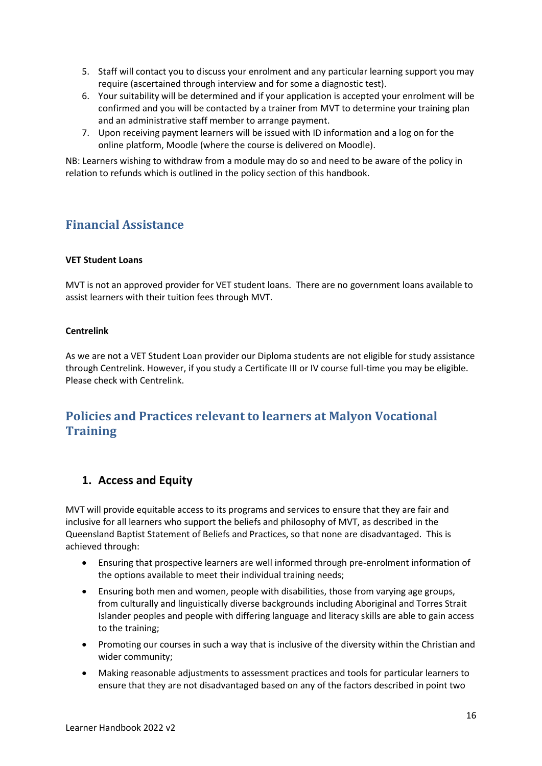- 5. Staff will contact you to discuss your enrolment and any particular learning support you may require (ascertained through interview and for some a diagnostic test).
- 6. Your suitability will be determined and if your application is accepted your enrolment will be confirmed and you will be contacted by a trainer from MVT to determine your training plan and an administrative staff member to arrange payment.
- 7. Upon receiving payment learners will be issued with ID information and a log on for the online platform, Moodle (where the course is delivered on Moodle).

NB: Learners wishing to withdraw from a module may do so and need to be aware of the policy in relation to refunds which is outlined in the policy section of this handbook.

## <span id="page-15-1"></span><span id="page-15-0"></span>**Financial Assistance**

#### **VET Student Loans**

MVT is not an approved provider for VET student loans. There are no government loans available to assist learners with their tuition fees through MVT.

#### <span id="page-15-2"></span>**Centrelink**

As we are not a VET Student Loan provider our Diploma students are not eligible for study assistance through Centrelink. However, if you study a Certificate III or IV course full-time you may be eligible. Please check with Centrelink.

# <span id="page-15-3"></span>**Policies and Practices relevant to learners at Malyon Vocational Training**

## <span id="page-15-4"></span>**1. Access and Equity**

MVT will provide equitable access to its programs and services to ensure that they are fair and inclusive for all learners who support the beliefs and philosophy of MVT, as described in the Queensland Baptist Statement of Beliefs and Practices, so that none are disadvantaged. This is achieved through:

- Ensuring that prospective learners are well informed through pre-enrolment information of the options available to meet their individual training needs;
- Ensuring both men and women, people with disabilities, those from varying age groups, from culturally and linguistically diverse backgrounds including Aboriginal and Torres Strait Islander peoples and people with differing language and literacy skills are able to gain access to the training;
- Promoting our courses in such a way that is inclusive of the diversity within the Christian and wider community;
- Making reasonable adjustments to assessment practices and tools for particular learners to ensure that they are not disadvantaged based on any of the factors described in point two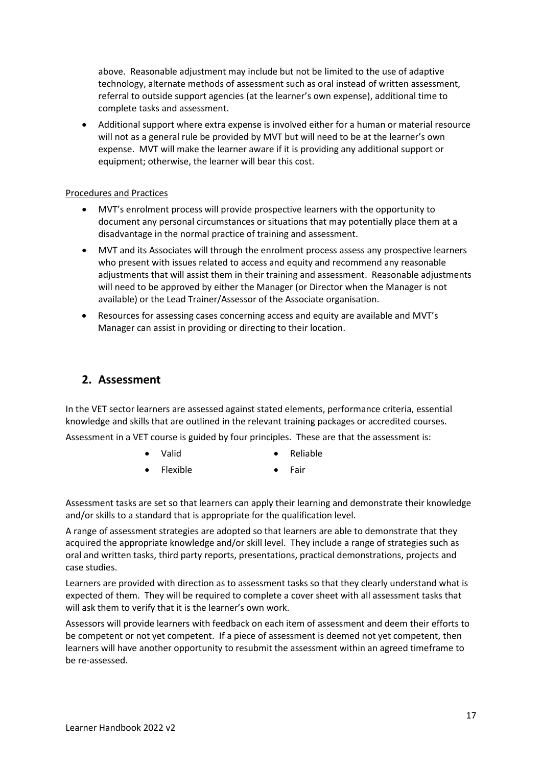above. Reasonable adjustment may include but not be limited to the use of adaptive technology, alternate methods of assessment such as oral instead of written assessment, referral to outside support agencies (at the learner's own expense), additional time to complete tasks and assessment.

• Additional support where extra expense is involved either for a human or material resource will not as a general rule be provided by MVT but will need to be at the learner's own expense. MVT will make the learner aware if it is providing any additional support or equipment; otherwise, the learner will bear this cost.

#### Procedures and Practices

- MVT's enrolment process will provide prospective learners with the opportunity to document any personal circumstances or situations that may potentially place them at a disadvantage in the normal practice of training and assessment.
- MVT and its Associates will through the enrolment process assess any prospective learners who present with issues related to access and equity and recommend any reasonable adjustments that will assist them in their training and assessment. Reasonable adjustments will need to be approved by either the Manager (or Director when the Manager is not available) or the Lead Trainer/Assessor of the Associate organisation.
- Resources for assessing cases concerning access and equity are available and MVT's Manager can assist in providing or directing to their location.

#### <span id="page-16-0"></span>**2. Assessment**

In the VET sector learners are assessed against stated elements, performance criteria, essential knowledge and skills that are outlined in the relevant training packages or accredited courses.

Assessment in a VET course is guided by four principles. These are that the assessment is:

- Valid Reliable
- Flexible Fair

Assessment tasks are set so that learners can apply their learning and demonstrate their knowledge and/or skills to a standard that is appropriate for the qualification level.

A range of assessment strategies are adopted so that learners are able to demonstrate that they acquired the appropriate knowledge and/or skill level. They include a range of strategies such as oral and written tasks, third party reports, presentations, practical demonstrations, projects and case studies.

Learners are provided with direction as to assessment tasks so that they clearly understand what is expected of them. They will be required to complete a cover sheet with all assessment tasks that will ask them to verify that it is the learner's own work.

Assessors will provide learners with feedback on each item of assessment and deem their efforts to be competent or not yet competent. If a piece of assessment is deemed not yet competent, then learners will have another opportunity to resubmit the assessment within an agreed timeframe to be re-assessed.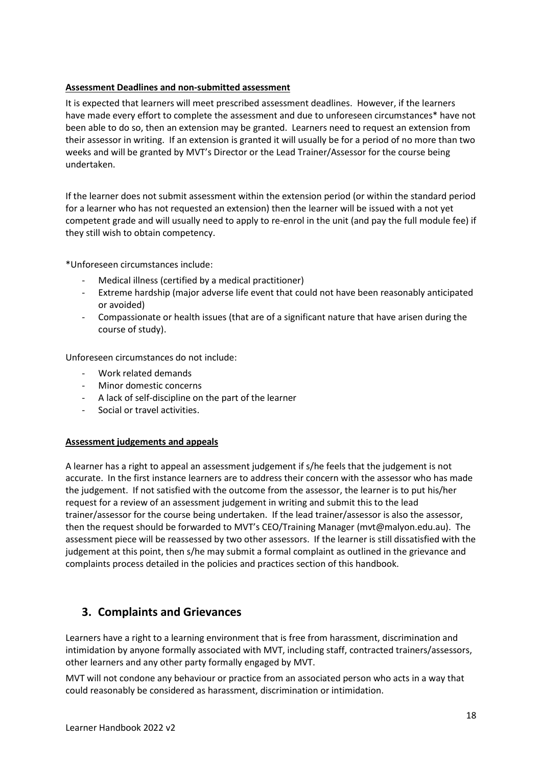#### **Assessment Deadlines and non-submitted assessment**

It is expected that learners will meet prescribed assessment deadlines. However, if the learners have made every effort to complete the assessment and due to unforeseen circumstances\* have not been able to do so, then an extension may be granted. Learners need to request an extension from their assessor in writing. If an extension is granted it will usually be for a period of no more than two weeks and will be granted by MVT's Director or the Lead Trainer/Assessor for the course being undertaken.

If the learner does not submit assessment within the extension period (or within the standard period for a learner who has not requested an extension) then the learner will be issued with a not yet competent grade and will usually need to apply to re-enrol in the unit (and pay the full module fee) if they still wish to obtain competency.

\*Unforeseen circumstances include:

- Medical illness (certified by a medical practitioner)
- Extreme hardship (major adverse life event that could not have been reasonably anticipated or avoided)
- Compassionate or health issues (that are of a significant nature that have arisen during the course of study).

Unforeseen circumstances do not include:

- Work related demands
- Minor domestic concerns
- A lack of self-discipline on the part of the learner
- Social or travel activities.

#### **Assessment judgements and appeals**

A learner has a right to appeal an assessment judgement if s/he feels that the judgement is not accurate. In the first instance learners are to address their concern with the assessor who has made the judgement. If not satisfied with the outcome from the assessor, the learner is to put his/her request for a review of an assessment judgement in writing and submit this to the lead trainer/assessor for the course being undertaken. If the lead trainer/assessor is also the assessor, then the request should be forwarded to MVT's CEO/Training Manager (mvt@malyon.edu.au). The assessment piece will be reassessed by two other assessors. If the learner is still dissatisfied with the judgement at this point, then s/he may submit a formal complaint as outlined in the grievance and complaints process detailed in the policies and practices section of this handbook.

## <span id="page-17-0"></span>**3. Complaints and Grievances**

Learners have a right to a learning environment that is free from harassment, discrimination and intimidation by anyone formally associated with MVT, including staff, contracted trainers/assessors, other learners and any other party formally engaged by MVT.

MVT will not condone any behaviour or practice from an associated person who acts in a way that could reasonably be considered as harassment, discrimination or intimidation.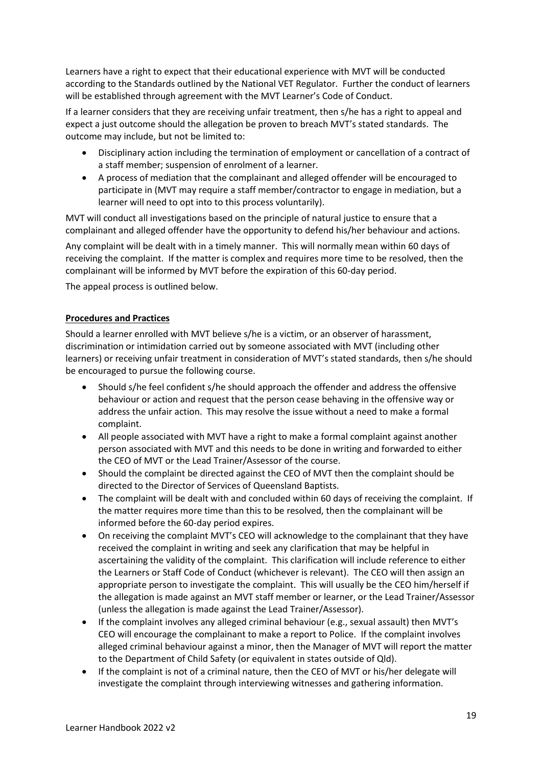Learners have a right to expect that their educational experience with MVT will be conducted according to the Standards outlined by the National VET Regulator. Further the conduct of learners will be established through agreement with the MVT Learner's Code of Conduct.

If a learner considers that they are receiving unfair treatment, then s/he has a right to appeal and expect a just outcome should the allegation be proven to breach MVT's stated standards. The outcome may include, but not be limited to:

- Disciplinary action including the termination of employment or cancellation of a contract of a staff member; suspension of enrolment of a learner.
- A process of mediation that the complainant and alleged offender will be encouraged to participate in (MVT may require a staff member/contractor to engage in mediation, but a learner will need to opt into to this process voluntarily).

MVT will conduct all investigations based on the principle of natural justice to ensure that a complainant and alleged offender have the opportunity to defend his/her behaviour and actions.

Any complaint will be dealt with in a timely manner. This will normally mean within 60 days of receiving the complaint. If the matter is complex and requires more time to be resolved, then the complainant will be informed by MVT before the expiration of this 60-day period.

The appeal process is outlined below.

#### **Procedures and Practices**

Should a learner enrolled with MVT believe s/he is a victim, or an observer of harassment, discrimination or intimidation carried out by someone associated with MVT (including other learners) or receiving unfair treatment in consideration of MVT's stated standards, then s/he should be encouraged to pursue the following course.

- Should s/he feel confident s/he should approach the offender and address the offensive behaviour or action and request that the person cease behaving in the offensive way or address the unfair action. This may resolve the issue without a need to make a formal complaint.
- All people associated with MVT have a right to make a formal complaint against another person associated with MVT and this needs to be done in writing and forwarded to either the CEO of MVT or the Lead Trainer/Assessor of the course.
- Should the complaint be directed against the CEO of MVT then the complaint should be directed to the Director of Services of Queensland Baptists.
- The complaint will be dealt with and concluded within 60 days of receiving the complaint. If the matter requires more time than this to be resolved, then the complainant will be informed before the 60-day period expires.
- On receiving the complaint MVT's CEO will acknowledge to the complainant that they have received the complaint in writing and seek any clarification that may be helpful in ascertaining the validity of the complaint. This clarification will include reference to either the Learners or Staff Code of Conduct (whichever is relevant). The CEO will then assign an appropriate person to investigate the complaint. This will usually be the CEO him/herself if the allegation is made against an MVT staff member or learner, or the Lead Trainer/Assessor (unless the allegation is made against the Lead Trainer/Assessor).
- If the complaint involves any alleged criminal behaviour (e.g., sexual assault) then MVT's CEO will encourage the complainant to make a report to Police. If the complaint involves alleged criminal behaviour against a minor, then the Manager of MVT will report the matter to the Department of Child Safety (or equivalent in states outside of Qld).
- If the complaint is not of a criminal nature, then the CEO of MVT or his/her delegate will investigate the complaint through interviewing witnesses and gathering information.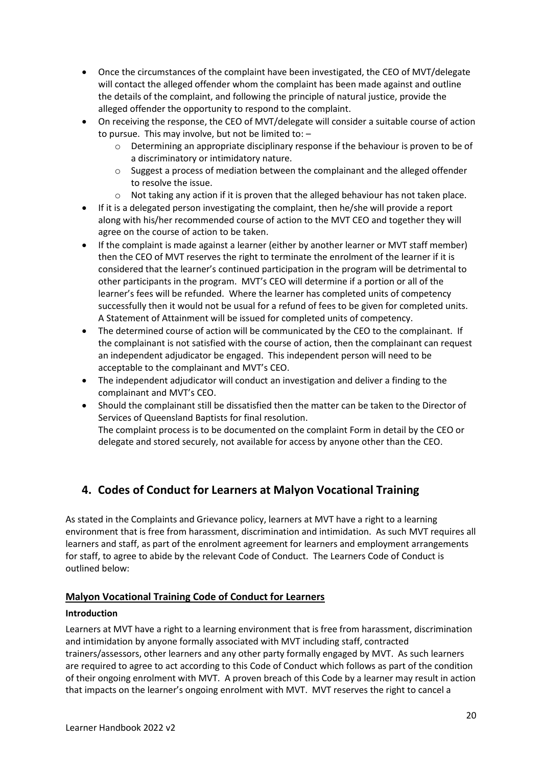- Once the circumstances of the complaint have been investigated, the CEO of MVT/delegate will contact the alleged offender whom the complaint has been made against and outline the details of the complaint, and following the principle of natural justice, provide the alleged offender the opportunity to respond to the complaint.
- On receiving the response, the CEO of MVT/delegate will consider a suitable course of action to pursue. This may involve, but not be limited to: –
	- o Determining an appropriate disciplinary response if the behaviour is proven to be of a discriminatory or intimidatory nature.
	- $\circ$  Suggest a process of mediation between the complainant and the alleged offender to resolve the issue.
	- $\circ$  Not taking any action if it is proven that the alleged behaviour has not taken place.
- If it is a delegated person investigating the complaint, then he/she will provide a report along with his/her recommended course of action to the MVT CEO and together they will agree on the course of action to be taken.
- If the complaint is made against a learner (either by another learner or MVT staff member) then the CEO of MVT reserves the right to terminate the enrolment of the learner if it is considered that the learner's continued participation in the program will be detrimental to other participants in the program. MVT's CEO will determine if a portion or all of the learner's fees will be refunded. Where the learner has completed units of competency successfully then it would not be usual for a refund of fees to be given for completed units. A Statement of Attainment will be issued for completed units of competency.
- The determined course of action will be communicated by the CEO to the complainant. If the complainant is not satisfied with the course of action, then the complainant can request an independent adjudicator be engaged. This independent person will need to be acceptable to the complainant and MVT's CEO.
- The independent adjudicator will conduct an investigation and deliver a finding to the complainant and MVT's CEO.
- Should the complainant still be dissatisfied then the matter can be taken to the Director of Services of Queensland Baptists for final resolution. The complaint process is to be documented on the complaint Form in detail by the CEO or delegate and stored securely, not available for access by anyone other than the CEO.

## <span id="page-19-0"></span>**4. Codes of Conduct for Learners at Malyon Vocational Training**

As stated in the Complaints and Grievance policy, learners at MVT have a right to a learning environment that is free from harassment, discrimination and intimidation. As such MVT requires all learners and staff, as part of the enrolment agreement for learners and employment arrangements for staff, to agree to abide by the relevant Code of Conduct. The Learners Code of Conduct is outlined below:

#### **Malyon Vocational Training Code of Conduct for Learners**

#### **Introduction**

Learners at MVT have a right to a learning environment that is free from harassment, discrimination and intimidation by anyone formally associated with MVT including staff, contracted trainers/assessors, other learners and any other party formally engaged by MVT. As such learners are required to agree to act according to this Code of Conduct which follows as part of the condition of their ongoing enrolment with MVT. A proven breach of this Code by a learner may result in action that impacts on the learner's ongoing enrolment with MVT. MVT reserves the right to cancel a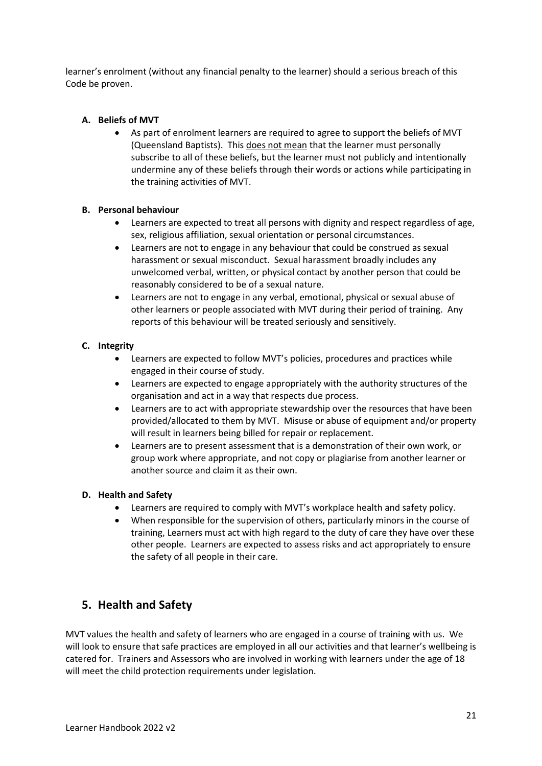learner's enrolment (without any financial penalty to the learner) should a serious breach of this Code be proven.

#### **A. Beliefs of MVT**

As part of enrolment learners are required to agree to support the beliefs of MVT (Queensland Baptists). This does not mean that the learner must personally subscribe to all of these beliefs, but the learner must not publicly and intentionally undermine any of these beliefs through their words or actions while participating in the training activities of MVT.

#### **B. Personal behaviour**

- Learners are expected to treat all persons with dignity and respect regardless of age, sex, religious affiliation, sexual orientation or personal circumstances.
- Learners are not to engage in any behaviour that could be construed as sexual harassment or sexual misconduct. Sexual harassment broadly includes any unwelcomed verbal, written, or physical contact by another person that could be reasonably considered to be of a sexual nature.
- Learners are not to engage in any verbal, emotional, physical or sexual abuse of other learners or people associated with MVT during their period of training. Any reports of this behaviour will be treated seriously and sensitively.

#### **C. Integrity**

- Learners are expected to follow MVT's policies, procedures and practices while engaged in their course of study.
- Learners are expected to engage appropriately with the authority structures of the organisation and act in a way that respects due process.
- Learners are to act with appropriate stewardship over the resources that have been provided/allocated to them by MVT. Misuse or abuse of equipment and/or property will result in learners being billed for repair or replacement.
- Learners are to present assessment that is a demonstration of their own work, or group work where appropriate, and not copy or plagiarise from another learner or another source and claim it as their own.

#### **D. Health and Safety**

- Learners are required to comply with MVT's workplace health and safety policy.
- When responsible for the supervision of others, particularly minors in the course of training, Learners must act with high regard to the duty of care they have over these other people. Learners are expected to assess risks and act appropriately to ensure the safety of all people in their care.

## <span id="page-20-0"></span>**5. Health and Safety**

MVT values the health and safety of learners who are engaged in a course of training with us. We will look to ensure that safe practices are employed in all our activities and that learner's wellbeing is catered for. Trainers and Assessors who are involved in working with learners under the age of 18 will meet the child protection requirements under legislation.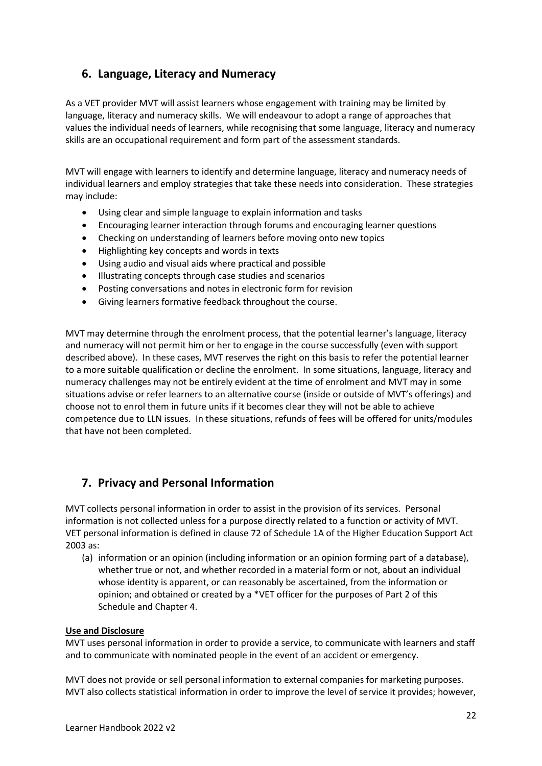## <span id="page-21-0"></span>**6. Language, Literacy and Numeracy**

As a VET provider MVT will assist learners whose engagement with training may be limited by language, literacy and numeracy skills. We will endeavour to adopt a range of approaches that values the individual needs of learners, while recognising that some language, literacy and numeracy skills are an occupational requirement and form part of the assessment standards.

MVT will engage with learners to identify and determine language, literacy and numeracy needs of individual learners and employ strategies that take these needs into consideration. These strategies may include:

- Using clear and simple language to explain information and tasks
- Encouraging learner interaction through forums and encouraging learner questions
- Checking on understanding of learners before moving onto new topics
- Highlighting key concepts and words in texts
- Using audio and visual aids where practical and possible
- Illustrating concepts through case studies and scenarios
- Posting conversations and notes in electronic form for revision
- Giving learners formative feedback throughout the course.

MVT may determine through the enrolment process, that the potential learner's language, literacy and numeracy will not permit him or her to engage in the course successfully (even with support described above). In these cases, MVT reserves the right on this basis to refer the potential learner to a more suitable qualification or decline the enrolment. In some situations, language, literacy and numeracy challenges may not be entirely evident at the time of enrolment and MVT may in some situations advise or refer learners to an alternative course (inside or outside of MVT's offerings) and choose not to enrol them in future units if it becomes clear they will not be able to achieve competence due to LLN issues. In these situations, refunds of fees will be offered for units/modules that have not been completed.

## <span id="page-21-1"></span>**7. Privacy and Personal Information**

MVT collects personal information in order to assist in the provision of its services. Personal information is not collected unless for a purpose directly related to a function or activity of MVT. VET personal information is defined in clause 72 of Schedule 1A of the Higher Education Support Act 2003 as:

(a) information or an opinion (including information or an opinion forming part of a database), whether true or not, and whether recorded in a material form or not, about an individual whose identity is apparent, or can reasonably be ascertained, from the information or opinion; and obtained or created by a \*VET officer for the purposes of Part 2 of this Schedule and Chapter 4.

#### **Use and Disclosure**

MVT uses personal information in order to provide a service, to communicate with learners and staff and to communicate with nominated people in the event of an accident or emergency.

MVT does not provide or sell personal information to external companies for marketing purposes. MVT also collects statistical information in order to improve the level of service it provides; however,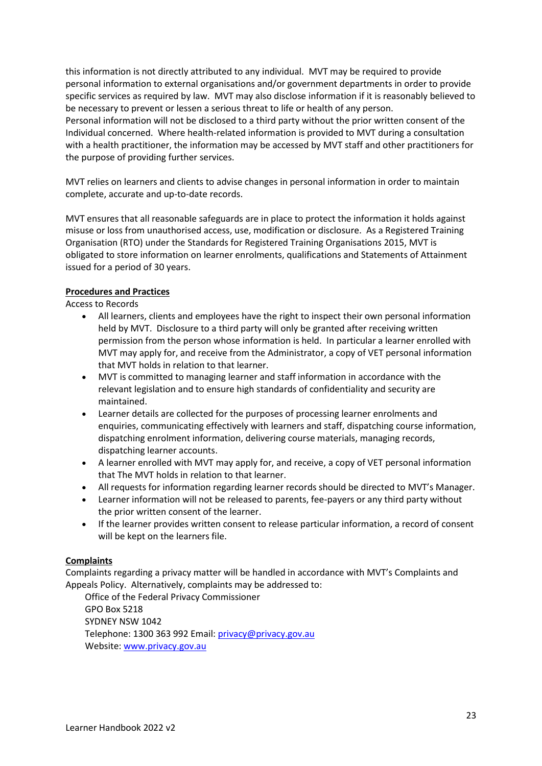this information is not directly attributed to any individual. MVT may be required to provide personal information to external organisations and/or government departments in order to provide specific services as required by law. MVT may also disclose information if it is reasonably believed to be necessary to prevent or lessen a serious threat to life or health of any person. Personal information will not be disclosed to a third party without the prior written consent of the Individual concerned. Where health-related information is provided to MVT during a consultation with a health practitioner, the information may be accessed by MVT staff and other practitioners for the purpose of providing further services.

MVT relies on learners and clients to advise changes in personal information in order to maintain complete, accurate and up-to-date records.

MVT ensures that all reasonable safeguards are in place to protect the information it holds against misuse or loss from unauthorised access, use, modification or disclosure. As a Registered Training Organisation (RTO) under the Standards for Registered Training Organisations 2015, MVT is obligated to store information on learner enrolments, qualifications and Statements of Attainment issued for a period of 30 years.

#### **Procedures and Practices**

Access to Records

- All learners, clients and employees have the right to inspect their own personal information held by MVT. Disclosure to a third party will only be granted after receiving written permission from the person whose information is held. In particular a learner enrolled with MVT may apply for, and receive from the Administrator, a copy of VET personal information that MVT holds in relation to that learner.
- MVT is committed to managing learner and staff information in accordance with the relevant legislation and to ensure high standards of confidentiality and security are maintained.
- Learner details are collected for the purposes of processing learner enrolments and enquiries, communicating effectively with learners and staff, dispatching course information, dispatching enrolment information, delivering course materials, managing records, dispatching learner accounts.
- A learner enrolled with MVT may apply for, and receive, a copy of VET personal information that The MVT holds in relation to that learner.
- All requests for information regarding learner records should be directed to MVT's Manager.
- Learner information will not be released to parents, fee-payers or any third party without the prior written consent of the learner.
- If the learner provides written consent to release particular information, a record of consent will be kept on the learners file.

#### **Complaints**

Complaints regarding a privacy matter will be handled in accordance with MVT's Complaints and Appeals Policy. Alternatively, complaints may be addressed to:

Office of the Federal Privacy Commissioner GPO Box 5218 SYDNEY NSW 1042 Telephone: 1300 363 992 Email[: privacy@privacy.gov.au](mailto:privacy@privacy.gov.au) Website: [www.privacy.gov.au](http://www.privacy.gov.au/)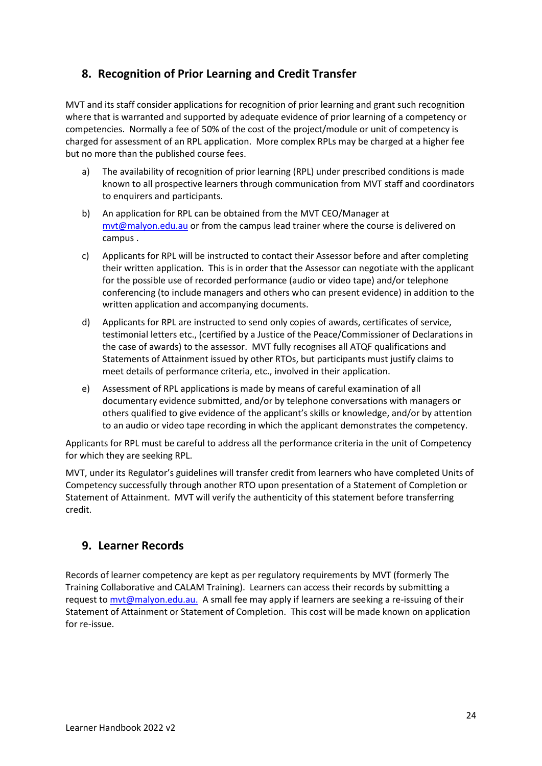## <span id="page-23-0"></span>**8. Recognition of Prior Learning and Credit Transfer**

MVT and its staff consider applications for recognition of prior learning and grant such recognition where that is warranted and supported by adequate evidence of prior learning of a competency or competencies. Normally a fee of 50% of the cost of the project/module or unit of competency is charged for assessment of an RPL application. More complex RPLs may be charged at a higher fee but no more than the published course fees.

- a) The availability of recognition of prior learning (RPL) under prescribed conditions is made known to all prospective learners through communication from MVT staff and coordinators to enquirers and participants.
- b) An application for RPL can be obtained from the MVT CEO/Manager at [mvt@malyon.edu.au](mailto:mvt@malyon.edu.au) or from the campus lead trainer where the course is delivered on campus .
- c) Applicants for RPL will be instructed to contact their Assessor before and after completing their written application. This is in order that the Assessor can negotiate with the applicant for the possible use of recorded performance (audio or video tape) and/or telephone conferencing (to include managers and others who can present evidence) in addition to the written application and accompanying documents.
- d) Applicants for RPL are instructed to send only copies of awards, certificates of service, testimonial letters etc., (certified by a Justice of the Peace/Commissioner of Declarations in the case of awards) to the assessor. MVT fully recognises all ATQF qualifications and Statements of Attainment issued by other RTOs, but participants must justify claims to meet details of performance criteria, etc., involved in their application.
- e) Assessment of RPL applications is made by means of careful examination of all documentary evidence submitted, and/or by telephone conversations with managers or others qualified to give evidence of the applicant's skills or knowledge, and/or by attention to an audio or video tape recording in which the applicant demonstrates the competency.

Applicants for RPL must be careful to address all the performance criteria in the unit of Competency for which they are seeking RPL.

MVT, under its Regulator's guidelines will transfer credit from learners who have completed Units of Competency successfully through another RTO upon presentation of a Statement of Completion or Statement of Attainment. MVT will verify the authenticity of this statement before transferring credit.

## <span id="page-23-1"></span>**9. Learner Records**

Records of learner competency are kept as per regulatory requirements by MVT (formerly The Training Collaborative and CALAM Training). Learners can access their records by submitting a request to [mvt@malyon.edu.au.](mailto:mvt@malyon.edu.au) A small fee may apply if learners are seeking a re-issuing of their Statement of Attainment or Statement of Completion. This cost will be made known on application for re-issue.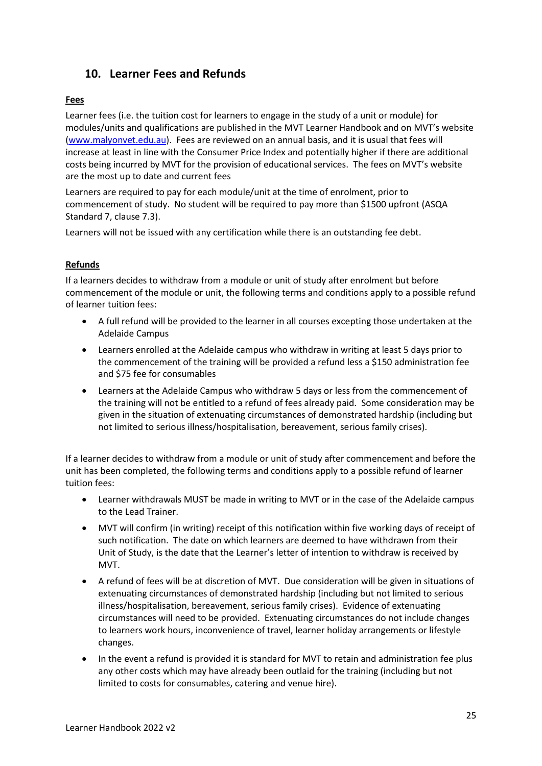## <span id="page-24-0"></span>**10. Learner Fees and Refunds**

#### **Fees**

Learner fees (i.e. the tuition cost for learners to engage in the study of a unit or module) for modules/units and qualifications are published in the MVT Learner Handbook and on MVT's website [\(www.malyonvet.edu.au\)](http://www.malyonvet.edu.au/). Fees are reviewed on an annual basis, and it is usual that fees will increase at least in line with the Consumer Price Index and potentially higher if there are additional costs being incurred by MVT for the provision of educational services. The fees on MVT's website are the most up to date and current fees

Learners are required to pay for each module/unit at the time of enrolment, prior to commencement of study. No student will be required to pay more than \$1500 upfront (ASQA Standard 7, clause 7.3).

Learners will not be issued with any certification while there is an outstanding fee debt.

#### **Refunds**

If a learners decides to withdraw from a module or unit of study after enrolment but before commencement of the module or unit, the following terms and conditions apply to a possible refund of learner tuition fees:

- A full refund will be provided to the learner in all courses excepting those undertaken at the Adelaide Campus
- Learners enrolled at the Adelaide campus who withdraw in writing at least 5 days prior to the commencement of the training will be provided a refund less a \$150 administration fee and \$75 fee for consumables
- Learners at the Adelaide Campus who withdraw 5 days or less from the commencement of the training will not be entitled to a refund of fees already paid. Some consideration may be given in the situation of extenuating circumstances of demonstrated hardship (including but not limited to serious illness/hospitalisation, bereavement, serious family crises).

If a learner decides to withdraw from a module or unit of study after commencement and before the unit has been completed, the following terms and conditions apply to a possible refund of learner tuition fees:

- Learner withdrawals MUST be made in writing to MVT or in the case of the Adelaide campus to the Lead Trainer.
- MVT will confirm (in writing) receipt of this notification within five working days of receipt of such notification. The date on which learners are deemed to have withdrawn from their Unit of Study, is the date that the Learner's letter of intention to withdraw is received by MVT.
- A refund of fees will be at discretion of MVT. Due consideration will be given in situations of extenuating circumstances of demonstrated hardship (including but not limited to serious illness/hospitalisation, bereavement, serious family crises). Evidence of extenuating circumstances will need to be provided. Extenuating circumstances do not include changes to learners work hours, inconvenience of travel, learner holiday arrangements or lifestyle changes.
- In the event a refund is provided it is standard for MVT to retain and administration fee plus any other costs which may have already been outlaid for the training (including but not limited to costs for consumables, catering and venue hire).